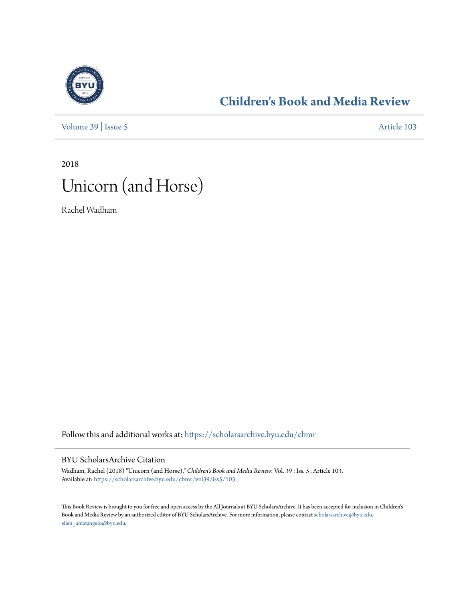

## **[Children's Book and Media Review](https://scholarsarchive.byu.edu/cbmr?utm_source=scholarsarchive.byu.edu%2Fcbmr%2Fvol39%2Fiss5%2F103&utm_medium=PDF&utm_campaign=PDFCoverPages)**

[Volume 39](https://scholarsarchive.byu.edu/cbmr/vol39?utm_source=scholarsarchive.byu.edu%2Fcbmr%2Fvol39%2Fiss5%2F103&utm_medium=PDF&utm_campaign=PDFCoverPages) | [Issue 5](https://scholarsarchive.byu.edu/cbmr/vol39/iss5?utm_source=scholarsarchive.byu.edu%2Fcbmr%2Fvol39%2Fiss5%2F103&utm_medium=PDF&utm_campaign=PDFCoverPages) [Article 103](https://scholarsarchive.byu.edu/cbmr/vol39/iss5/103?utm_source=scholarsarchive.byu.edu%2Fcbmr%2Fvol39%2Fiss5%2F103&utm_medium=PDF&utm_campaign=PDFCoverPages)

2018



Rachel Wadham

Follow this and additional works at: [https://scholarsarchive.byu.edu/cbmr](https://scholarsarchive.byu.edu/cbmr?utm_source=scholarsarchive.byu.edu%2Fcbmr%2Fvol39%2Fiss5%2F103&utm_medium=PDF&utm_campaign=PDFCoverPages)

### BYU ScholarsArchive Citation

Wadham, Rachel (2018) "Unicorn (and Horse)," *Children's Book and Media Review*: Vol. 39 : Iss. 5 , Article 103. Available at: [https://scholarsarchive.byu.edu/cbmr/vol39/iss5/103](https://scholarsarchive.byu.edu/cbmr/vol39/iss5/103?utm_source=scholarsarchive.byu.edu%2Fcbmr%2Fvol39%2Fiss5%2F103&utm_medium=PDF&utm_campaign=PDFCoverPages)

This Book Review is brought to you for free and open access by the All Journals at BYU ScholarsArchive. It has been accepted for inclusion in Children's Book and Media Review by an authorized editor of BYU ScholarsArchive. For more information, please contact [scholarsarchive@byu.edu,](mailto:scholarsarchive@byu.edu,%20ellen_amatangelo@byu.edu) [ellen\\_amatangelo@byu.edu.](mailto:scholarsarchive@byu.edu,%20ellen_amatangelo@byu.edu)